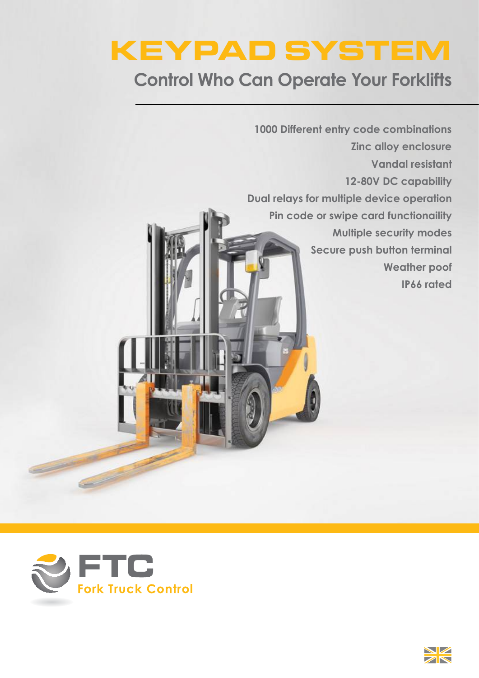# KEYPAD SYSTEM

# **Control Who Can Operate Your Forklifts**

**Vandal resistant 12-80V DC capability Dual relays for multiple device operation Pin code or swipe card functionaility Multiple security modes Secure push button terminal Weather poof IP66 rated 1000 Different entry code combinations Zinc alloy enclosure**